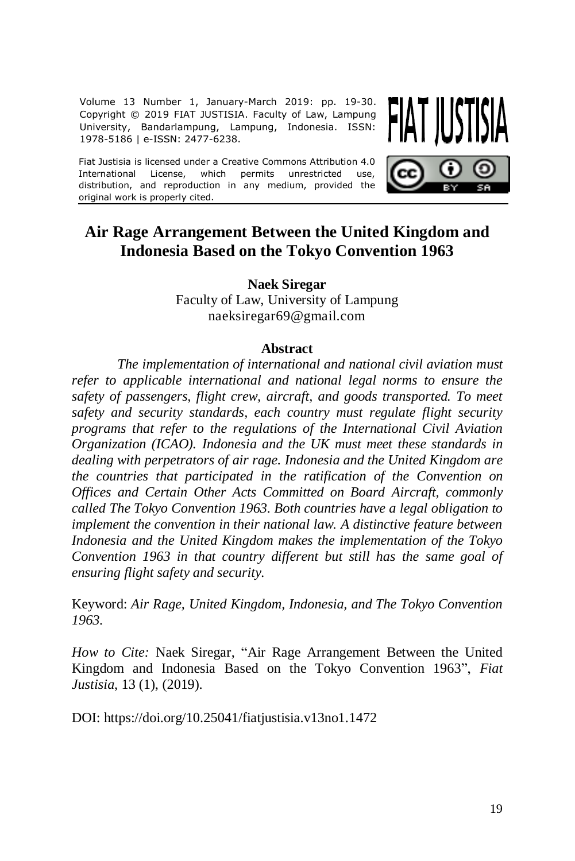Volume 13 Number 1, January-March 2019: pp. 19-30. Copyright © 2019 FIAT JUSTISIA. Faculty of Law, Lampung University, Bandarlampung, Lampung, Indonesia. ISSN: 1978-5186 | e-ISSN: 2477-6238.

Fiat Justisia is licensed under a Creative Commons Attribution 4.0<br>International License, which permits unrestricted use. International License, which permits unrestricted distribution, and reproduction in any medium, provided the original work is properly cited.

# **Air Rage Arrangement Between the United Kingdom and Indonesia Based on the Tokyo Convention 1963**

**Naek Siregar**

Faculty of Law, University of Lampung naeksiregar69@gmail.com

#### **Abstract**

*The implementation of international and national civil aviation must refer to applicable international and national legal norms to ensure the safety of passengers, flight crew, aircraft, and goods transported. To meet safety and security standards, each country must regulate flight security programs that refer to the regulations of the International Civil Aviation Organization (ICAO). Indonesia and the UK must meet these standards in dealing with perpetrators of air rage. Indonesia and the United Kingdom are the countries that participated in the ratification of the Convention on Offices and Certain Other Acts Committed on Board Aircraft, commonly called The Tokyo Convention 1963. Both countries have a legal obligation to implement the convention in their national law. A distinctive feature between Indonesia and the United Kingdom makes the implementation of the Tokyo Convention 1963 in that country different but still has the same goal of ensuring flight safety and security.*

Keyword: *Air Rage, United Kingdom, Indonesia, and The Tokyo Convention 1963.* 

*How to Cite:* Naek Siregar, "Air Rage Arrangement Between the United Kingdom and Indonesia Based on the Tokyo Convention 1963", *Fiat Justisia*, 13 (1), (2019).

DOI: <https://doi.org/10.25041/fiatjustisia.v13no1.1472>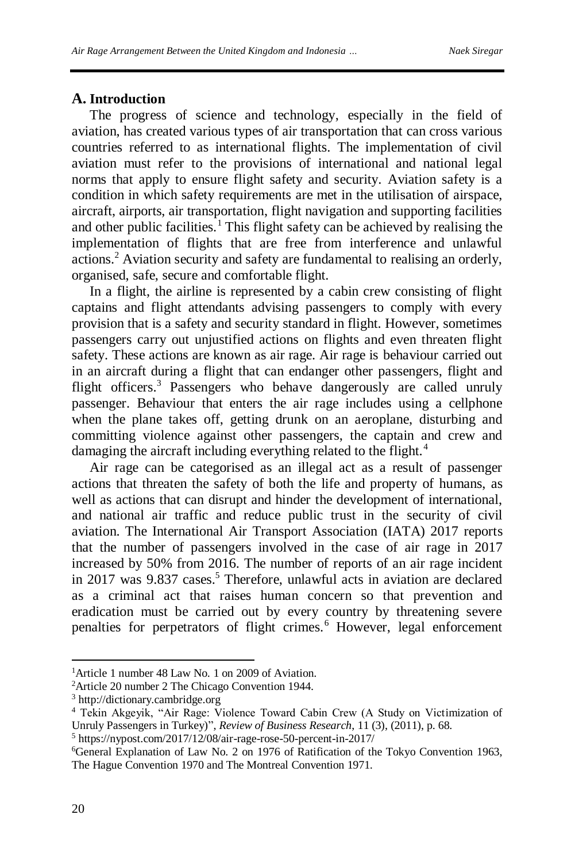## **A. Introduction**

The progress of science and technology, especially in the field of aviation, has created various types of air transportation that can cross various countries referred to as international flights. The implementation of civil aviation must refer to the provisions of international and national legal norms that apply to ensure flight safety and security. Aviation safety is a condition in which safety requirements are met in the utilisation of airspace, aircraft, airports, air transportation, flight navigation and supporting facilities and other public facilities.<sup>1</sup> This flight safety can be achieved by realising the implementation of flights that are free from interference and unlawful actions.<sup>2</sup> Aviation security and safety are fundamental to realising an orderly, organised, safe, secure and comfortable flight.

In a flight, the airline is represented by a cabin crew consisting of flight captains and flight attendants advising passengers to comply with every provision that is a safety and security standard in flight. However, sometimes passengers carry out unjustified actions on flights and even threaten flight safety. These actions are known as air rage. Air rage is behaviour carried out in an aircraft during a flight that can endanger other passengers, flight and flight officers.<sup>3</sup> Passengers who behave dangerously are called unruly passenger. Behaviour that enters the air rage includes using a cellphone when the plane takes off, getting drunk on an aeroplane, disturbing and committing violence against other passengers, the captain and crew and damaging the aircraft including everything related to the flight.<sup>4</sup>

Air rage can be categorised as an illegal act as a result of passenger actions that threaten the safety of both the life and property of humans, as well as actions that can disrupt and hinder the development of international, and national air traffic and reduce public trust in the security of civil aviation. The International Air Transport Association (IATA) 2017 reports that the number of passengers involved in the case of air rage in 2017 increased by 50% from 2016. The number of reports of an air rage incident in 2017 was 9.837 cases.<sup>5</sup> Therefore, unlawful acts in aviation are declared as a criminal act that raises human concern so that prevention and eradication must be carried out by every country by threatening severe penalties for perpetrators of flight crimes.<sup>6</sup> However, legal enforcement

 $\overline{a}$ <sup>1</sup>Article 1 number 48 Law No. 1 on 2009 of Aviation.

<sup>2</sup>Article 20 number 2 The Chicago Convention 1944.

<sup>3</sup> [http://dictionary.cambridge.org](http://dictionary.cambridge.org/)

<sup>4</sup> Tekin Akgeyik, "Air Rage: Violence Toward Cabin Crew (A Study on Victimization of Unruly Passengers in Turkey)", *Review of Business Research*, 11 (3), (2011), p. 68.

<sup>5</sup> <https://nypost.com/2017/12/08/air-rage-rose-50-percent-in-2017/>

<sup>6</sup>General Explanation of Law No. 2 on 1976 of Ratification of the Tokyo Convention 1963, The Hague Convention 1970 and The Montreal Convention 1971.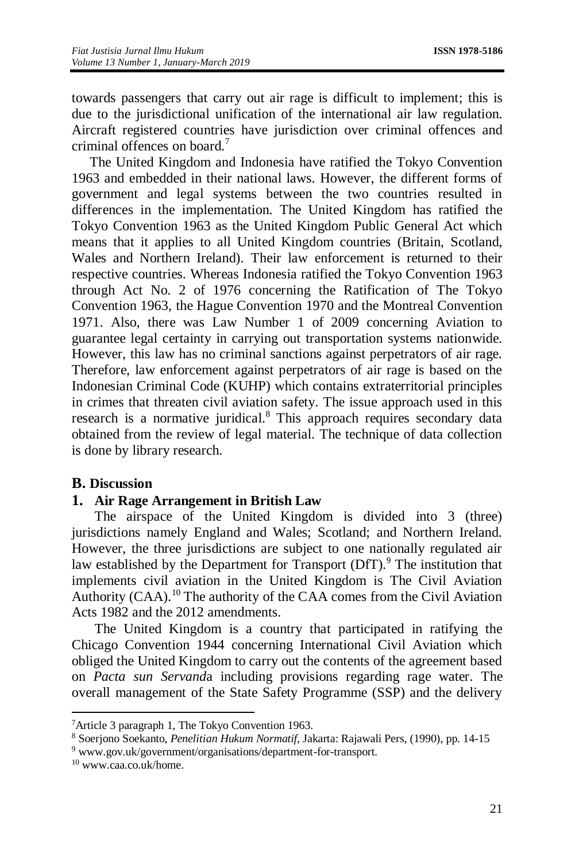towards passengers that carry out air rage is difficult to implement; this is due to the jurisdictional unification of the international air law regulation. Aircraft registered countries have jurisdiction over criminal offences and criminal offences on board.<sup>7</sup>

The United Kingdom and Indonesia have ratified the Tokyo Convention 1963 and embedded in their national laws. However, the different forms of government and legal systems between the two countries resulted in differences in the implementation. The United Kingdom has ratified the Tokyo Convention 1963 as the United Kingdom Public General Act which means that it applies to all United Kingdom countries (Britain, Scotland, Wales and Northern Ireland). Their law enforcement is returned to their respective countries. Whereas Indonesia ratified the Tokyo Convention 1963 through Act No. 2 of 1976 concerning the Ratification of The Tokyo Convention 1963, the Hague Convention 1970 and the Montreal Convention 1971. Also, there was Law Number 1 of 2009 concerning Aviation to guarantee legal certainty in carrying out transportation systems nationwide. However, this law has no criminal sanctions against perpetrators of air rage. Therefore, law enforcement against perpetrators of air rage is based on the Indonesian Criminal Code (KUHP) which contains extraterritorial principles in crimes that threaten civil aviation safety. The issue approach used in this research is a normative juridical.<sup>8</sup> This approach requires secondary data obtained from the review of legal material. The technique of data collection is done by library research.

# **B. Discussion**

#### **1. Air Rage Arrangement in British Law**

The airspace of the United Kingdom is divided into 3 (three) jurisdictions namely England and Wales; Scotland; and Northern Ireland. However, the three jurisdictions are subject to one nationally regulated air law established by the Department for Transport (DfT).<sup>9</sup> The institution that implements civil aviation in the United Kingdom is The Civil Aviation Authority (CAA).<sup>10</sup> The authority of the CAA comes from the Civil Aviation Acts 1982 and the 2012 amendments.

The United Kingdom is a country that participated in ratifying the Chicago Convention 1944 concerning International Civil Aviation which obliged the United Kingdom to carry out the contents of the agreement based on *Pacta sun Servand*a including provisions regarding rage water. The overall management of the State Safety Programme (SSP) and the delivery

<sup>9</sup> [www.gov.uk/government/organisations/department-for-transport.](http://www.gov.uk/government/organisations/department-for-transport)

 $\overline{a}$ 

<sup>7</sup>Article 3 paragraph 1, The Tokyo Convention 1963.

<sup>8</sup> Soerjono Soekanto, *Penelitian Hukum Normatif*, Jakarta: Rajawali Pers, (1990), pp. 14-15

<sup>10</sup> [www.caa.co.uk/home.](http://www.caa.co.uk/home)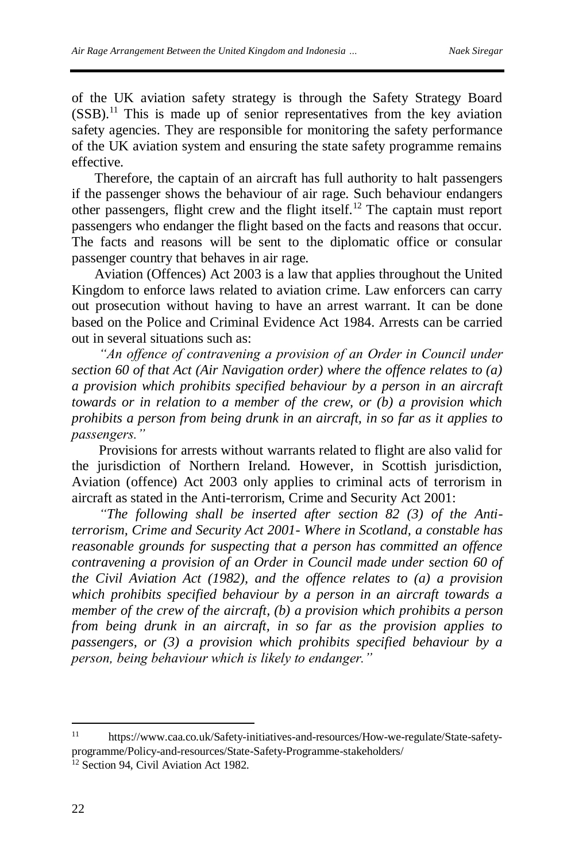of the UK aviation safety strategy is through the Safety Strategy Board  $(SSB)$ .<sup>11</sup> This is made up of senior representatives from the key aviation safety agencies. They are responsible for monitoring the safety performance of the UK aviation system and ensuring the state safety programme remains effective.

Therefore, the captain of an aircraft has full authority to halt passengers if the passenger shows the behaviour of air rage. Such behaviour endangers other passengers, flight crew and the flight itself. <sup>12</sup> The captain must report passengers who endanger the flight based on the facts and reasons that occur. The facts and reasons will be sent to the diplomatic office or consular passenger country that behaves in air rage.

Aviation (Offences) Act 2003 is a law that applies throughout the United Kingdom to enforce laws related to aviation crime. Law enforcers can carry out prosecution without having to have an arrest warrant. It can be done based on the Police and Criminal Evidence Act 1984. Arrests can be carried out in several situations such as:

*"An offence of contravening a provision of an Order in Council under section 60 of that Act (Air Navigation order) where the offence relates to (a) a provision which prohibits specified behaviour by a person in an aircraft towards or in relation to a member of the crew, or (b) a provision which prohibits a person from being drunk in an aircraft, in so far as it applies to passengers."*

Provisions for arrests without warrants related to flight are also valid for the jurisdiction of Northern Ireland. However, in Scottish jurisdiction, Aviation (offence) Act 2003 only applies to criminal acts of terrorism in aircraft as stated in the Anti-terrorism, Crime and Security Act 2001:

*"The following shall be inserted after section 82 (3) of the Antiterrorism, Crime and Security Act 2001- Where in Scotland, a constable has reasonable grounds for suspecting that a person has committed an offence contravening a provision of an Order in Council made under section 60 of the Civil Aviation Act (1982), and the offence relates to (a) a provision which prohibits specified behaviour by a person in an aircraft towards a member of the crew of the aircraft, (b) a provision which prohibits a person from being drunk in an aircraft, in so far as the provision applies to passengers, or (3) a provision which prohibits specified behaviour by a person, being behaviour which is likely to endanger."*

 $\overline{\phantom{a}}$ 

<sup>11</sup> [https://www.caa.co.uk/Safety-initiatives-and-resources/How-we-regulate/State-safety](https://www.caa.co.uk/Safety-initiatives-and-resources/How-we-regulate/State-safety-programme/Policy-and-resources/State-Safety-Programme-stakeholders/)[programme/Policy-and-resources/State-Safety-Programme-stakeholders/](https://www.caa.co.uk/Safety-initiatives-and-resources/How-we-regulate/State-safety-programme/Policy-and-resources/State-Safety-Programme-stakeholders/)

<sup>&</sup>lt;sup>12</sup> Section 94, Civil Aviation Act 1982.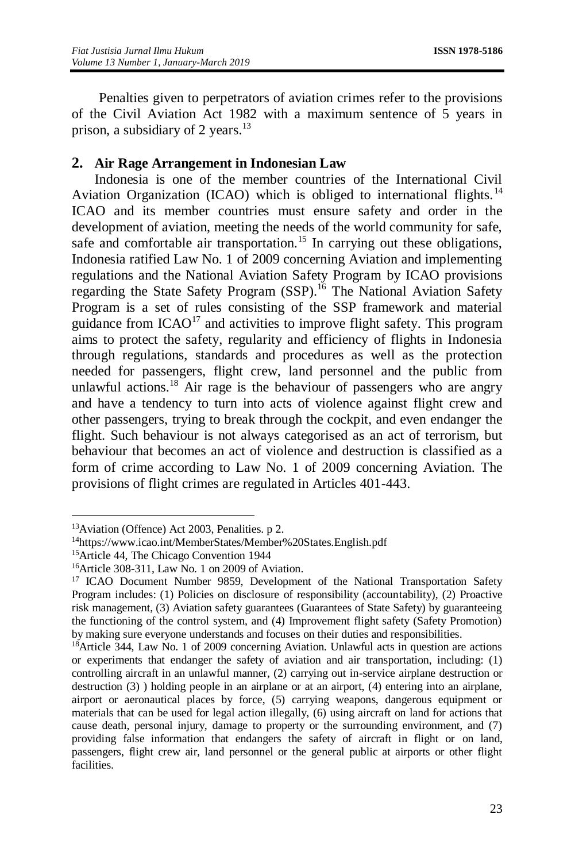Penalties given to perpetrators of aviation crimes refer to the provisions of the Civil Aviation Act 1982 with a maximum sentence of 5 years in prison, a subsidiary of 2 years. $13$ 

# **2. Air Rage Arrangement in Indonesian Law**

Indonesia is one of the member countries of the International Civil Aviation Organization (ICAO) which is obliged to international flights.<sup>14</sup> ICAO and its member countries must ensure safety and order in the development of aviation, meeting the needs of the world community for safe, safe and comfortable air transportation.<sup>15</sup> In carrying out these obligations, Indonesia ratified Law No. 1 of 2009 concerning Aviation and implementing regulations and the National Aviation Safety Program by ICAO provisions regarding the State Safety Program (SSP).<sup>16</sup> The National Aviation Safety Program is a set of rules consisting of the SSP framework and material guidance from  $ICAO<sup>17</sup>$  and activities to improve flight safety. This program aims to protect the safety, regularity and efficiency of flights in Indonesia through regulations, standards and procedures as well as the protection needed for passengers, flight crew, land personnel and the public from unlawful actions.<sup>18</sup> Air rage is the behaviour of passengers who are angry and have a tendency to turn into acts of violence against flight crew and other passengers, trying to break through the cockpit, and even endanger the flight. Such behaviour is not always categorised as an act of terrorism, but behaviour that becomes an act of violence and destruction is classified as a form of crime according to Law No. 1 of 2009 concerning Aviation. The provisions of flight crimes are regulated in Articles 401-443.

 $\overline{a}$ 

<sup>13</sup>Aviation (Offence) Act 2003, Penalities. p 2.

<sup>14</sup><https://www.icao.int/MemberStates/Member%20States.English.pdf>

<sup>15</sup>Article 44, The Chicago Convention 1944

<sup>16</sup>Article 308-311, Law No. 1 on 2009 of Aviation.

<sup>17</sup> ICAO Document Number 9859, Development of the National Transportation Safety Program includes: (1) Policies on disclosure of responsibility (accountability), (2) Proactive risk management, (3) Aviation safety guarantees (Guarantees of State Safety) by guaranteeing the functioning of the control system, and (4) Improvement flight safety (Safety Promotion) by making sure everyone understands and focuses on their duties and responsibilities.

<sup>18</sup>Article 344, Law No. 1 of 2009 concerning Aviation. Unlawful acts in question are actions or experiments that endanger the safety of aviation and air transportation, including: (1) controlling aircraft in an unlawful manner, (2) carrying out in-service airplane destruction or destruction (3) ) holding people in an airplane or at an airport, (4) entering into an airplane, airport or aeronautical places by force, (5) carrying weapons, dangerous equipment or materials that can be used for legal action illegally, (6) using aircraft on land for actions that cause death, personal injury, damage to property or the surrounding environment, and (7) providing false information that endangers the safety of aircraft in flight or on land, passengers, flight crew air, land personnel or the general public at airports or other flight facilities.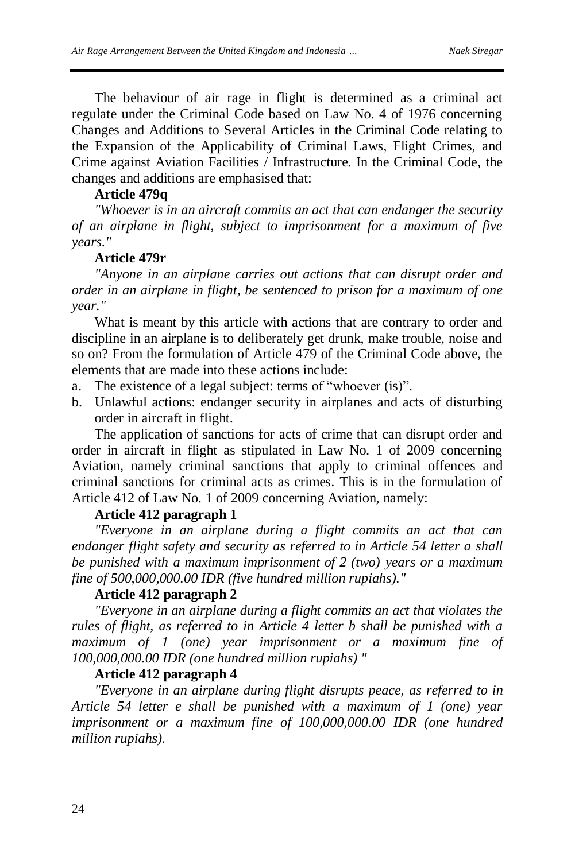The behaviour of air rage in flight is determined as a criminal act regulate under the Criminal Code based on Law No. 4 of 1976 concerning Changes and Additions to Several Articles in the Criminal Code relating to the Expansion of the Applicability of Criminal Laws, Flight Crimes, and Crime against Aviation Facilities / Infrastructure. In the Criminal Code, the changes and additions are emphasised that:

### **Article 479q**

*"Whoever is in an aircraft commits an act that can endanger the security of an airplane in flight, subject to imprisonment for a maximum of five years."*

#### **Article 479r**

*"Anyone in an airplane carries out actions that can disrupt order and order in an airplane in flight, be sentenced to prison for a maximum of one year."*

What is meant by this article with actions that are contrary to order and discipline in an airplane is to deliberately get drunk, make trouble, noise and so on? From the formulation of Article 479 of the Criminal Code above, the elements that are made into these actions include:

- a. The existence of a legal subject: terms of "whoever (is)".
- b. Unlawful actions: endanger security in airplanes and acts of disturbing order in aircraft in flight.

The application of sanctions for acts of crime that can disrupt order and order in aircraft in flight as stipulated in Law No. 1 of 2009 concerning Aviation, namely criminal sanctions that apply to criminal offences and criminal sanctions for criminal acts as crimes. This is in the formulation of Article 412 of Law No. 1 of 2009 concerning Aviation, namely:

#### **Article 412 paragraph 1**

*"Everyone in an airplane during a flight commits an act that can endanger flight safety and security as referred to in Article 54 letter a shall be punished with a maximum imprisonment of 2 (two) years or a maximum fine of 500,000,000.00 IDR (five hundred million rupiahs)."*

#### **Article 412 paragraph 2**

*"Everyone in an airplane during a flight commits an act that violates the rules of flight, as referred to in Article 4 letter b shall be punished with a maximum of 1 (one) year imprisonment or a maximum fine of 100,000,000.00 IDR (one hundred million rupiahs) "*

#### **Article 412 paragraph 4**

*"Everyone in an airplane during flight disrupts peace, as referred to in Article 54 letter e shall be punished with a maximum of 1 (one) year imprisonment or a maximum fine of 100,000,000.00 IDR (one hundred million rupiahs).*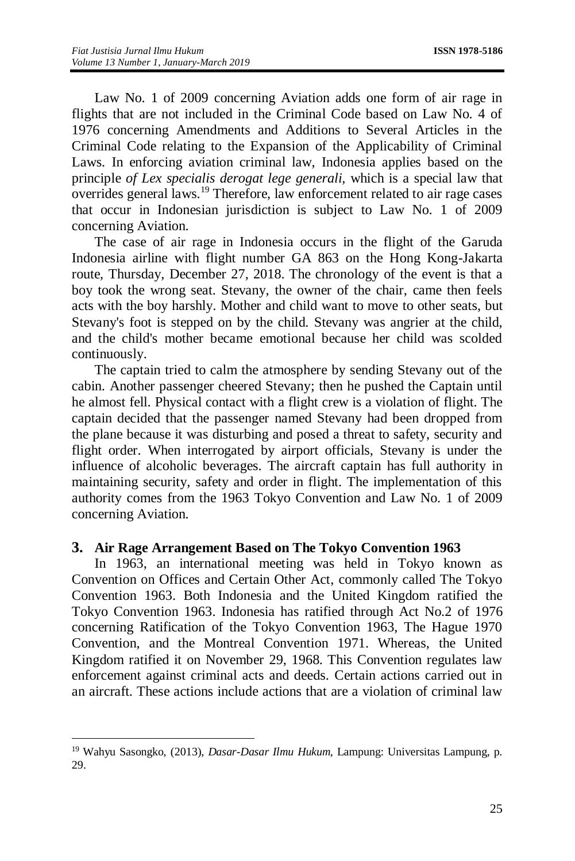Law No. 1 of 2009 concerning Aviation adds one form of air rage in flights that are not included in the Criminal Code based on Law No. 4 of 1976 concerning Amendments and Additions to Several Articles in the Criminal Code relating to the Expansion of the Applicability of Criminal Laws. In enforcing aviation criminal law, Indonesia applies based on the principle *of Lex specialis derogat lege generali,* which is a special law that overrides general laws.<sup>19</sup> Therefore, law enforcement related to air rage cases that occur in Indonesian jurisdiction is subject to Law No. 1 of 2009 concerning Aviation.

The case of air rage in Indonesia occurs in the flight of the Garuda Indonesia airline with flight number GA 863 on the Hong Kong-Jakarta route, Thursday, December 27, 2018. The chronology of the event is that a boy took the wrong seat. Stevany, the owner of the chair, came then feels acts with the boy harshly. Mother and child want to move to other seats, but Stevany's foot is stepped on by the child. Stevany was angrier at the child, and the child's mother became emotional because her child was scolded continuously.

The captain tried to calm the atmosphere by sending Stevany out of the cabin. Another passenger cheered Stevany; then he pushed the Captain until he almost fell. Physical contact with a flight crew is a violation of flight. The captain decided that the passenger named Stevany had been dropped from the plane because it was disturbing and posed a threat to safety, security and flight order. When interrogated by airport officials, Stevany is under the influence of alcoholic beverages. The aircraft captain has full authority in maintaining security, safety and order in flight. The implementation of this authority comes from the 1963 Tokyo Convention and Law No. 1 of 2009 concerning Aviation.

#### **3. Air Rage Arrangement Based on The Tokyo Convention 1963**

In 1963, an international meeting was held in Tokyo known as Convention on Offices and Certain Other Act, commonly called The Tokyo Convention 1963. Both Indonesia and the United Kingdom ratified the Tokyo Convention 1963. Indonesia has ratified through Act No.2 of 1976 concerning Ratification of the Tokyo Convention 1963, The Hague 1970 Convention, and the Montreal Convention 1971. Whereas, the United Kingdom ratified it on November 29, 1968. This Convention regulates law enforcement against criminal acts and deeds. Certain actions carried out in an aircraft. These actions include actions that are a violation of criminal law

 $\overline{\phantom{a}}$ 

<sup>19</sup> Wahyu Sasongko, (2013), *Dasar-Dasar Ilmu Hukum*, Lampung: Universitas Lampung, p. 29.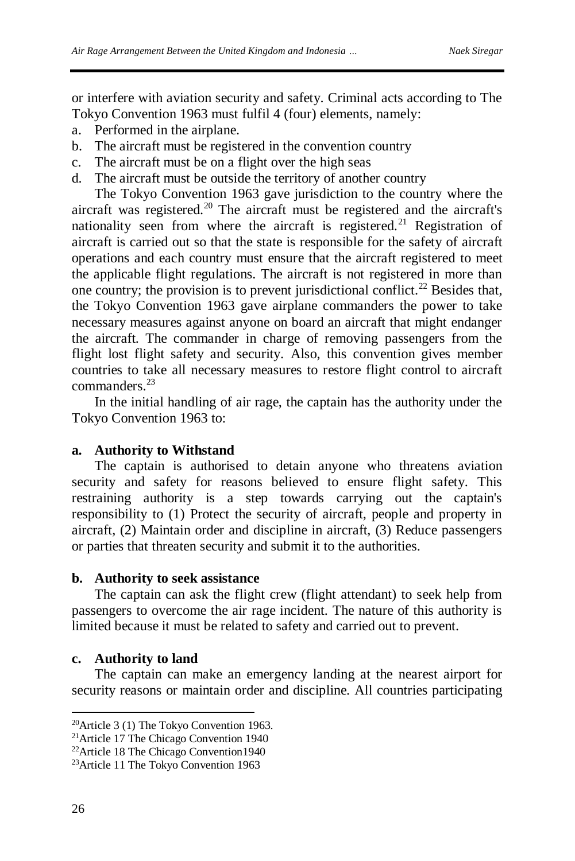or interfere with aviation security and safety. Criminal acts according to The Tokyo Convention 1963 must fulfil 4 (four) elements, namely:

- a. Performed in the airplane.
- b. The aircraft must be registered in the convention country
- c. The aircraft must be on a flight over the high seas
- d. The aircraft must be outside the territory of another country

The Tokyo Convention 1963 gave jurisdiction to the country where the aircraft was registered.<sup>20</sup> The aircraft must be registered and the aircraft's nationality seen from where the aircraft is registered.<sup>21</sup> Registration of aircraft is carried out so that the state is responsible for the safety of aircraft operations and each country must ensure that the aircraft registered to meet the applicable flight regulations. The aircraft is not registered in more than one country; the provision is to prevent jurisdictional conflict.<sup>22</sup> Besides that, the Tokyo Convention 1963 gave airplane commanders the power to take necessary measures against anyone on board an aircraft that might endanger the aircraft. The commander in charge of removing passengers from the flight lost flight safety and security. Also, this convention gives member countries to take all necessary measures to restore flight control to aircraft commanders<sup>23</sup>

In the initial handling of air rage, the captain has the authority under the Tokyo Convention 1963 to:

#### **a. Authority to Withstand**

The captain is authorised to detain anyone who threatens aviation security and safety for reasons believed to ensure flight safety. This restraining authority is a step towards carrying out the captain's responsibility to (1) Protect the security of aircraft, people and property in aircraft, (2) Maintain order and discipline in aircraft, (3) Reduce passengers or parties that threaten security and submit it to the authorities.

## **b. Authority to seek assistance**

The captain can ask the flight crew (flight attendant) to seek help from passengers to overcome the air rage incident. The nature of this authority is limited because it must be related to safety and carried out to prevent.

#### **c. Authority to land**

The captain can make an emergency landing at the nearest airport for security reasons or maintain order and discipline. All countries participating

 $\overline{a}$ 

<sup>&</sup>lt;sup>20</sup>Article 3 (1) The Tokyo Convention 1963.

<sup>21</sup>Article 17 The Chicago Convention 1940

<sup>22</sup>Article 18 The Chicago Convention1940

<sup>23</sup>Article 11 The Tokyo Convention 1963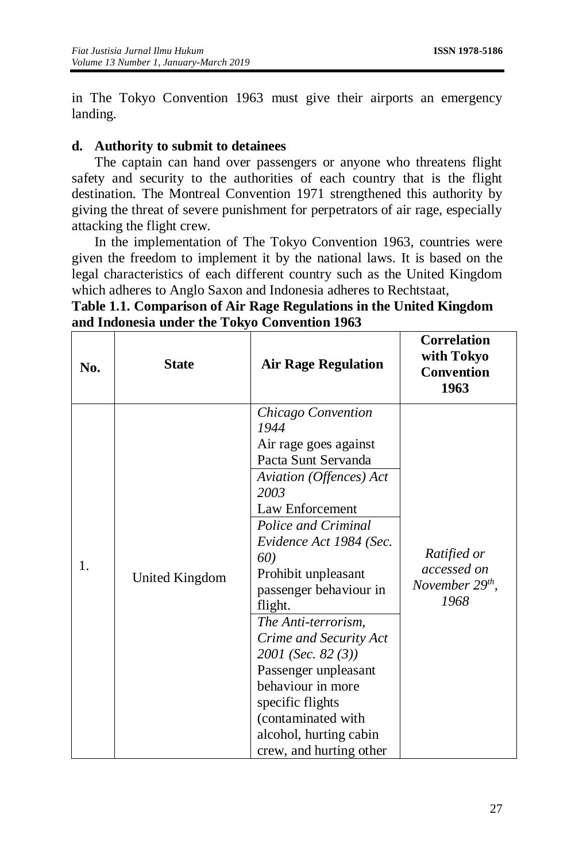in The Tokyo Convention 1963 must give their airports an emergency landing.

# **d. Authority to submit to detainees**

The captain can hand over passengers or anyone who threatens flight safety and security to the authorities of each country that is the flight destination. The Montreal Convention 1971 strengthened this authority by giving the threat of severe punishment for perpetrators of air rage, especially attacking the flight crew.

In the implementation of The Tokyo Convention 1963, countries were given the freedom to implement it by the national laws. It is based on the legal characteristics of each different country such as the United Kingdom which adheres to Anglo Saxon and Indonesia adheres to Rechtstaat,

| Table 1.1. Comparison of Air Rage Regulations in the United Kingdom |  |  |  |
|---------------------------------------------------------------------|--|--|--|
| and Indonesia under the Tokyo Convention 1963                       |  |  |  |

| No. | <b>State</b>          | <b>Air Rage Regulation</b>                                                                                                                                                                                                                                                                                                                                                                                                                                               | <b>Correlation</b><br>with Tokyo<br><b>Convention</b><br>1963 |
|-----|-----------------------|--------------------------------------------------------------------------------------------------------------------------------------------------------------------------------------------------------------------------------------------------------------------------------------------------------------------------------------------------------------------------------------------------------------------------------------------------------------------------|---------------------------------------------------------------|
| 1.  | <b>United Kingdom</b> | Chicago Convention<br>1944<br>Air rage goes against<br>Pacta Sunt Servanda<br>Aviation (Offences) Act<br>2003<br>Law Enforcement<br>Police and Criminal<br>Evidence Act 1984 (Sec.<br>60)<br>Prohibit unpleasant<br>passenger behaviour in<br>flight.<br>The Anti-terrorism,<br>Crime and Security Act<br>2001 (Sec. 82 (3))<br>Passenger unpleasant<br>behaviour in more<br>specific flights<br>(contaminated with<br>alcohol, hurting cabin<br>crew, and hurting other | Ratified or<br>accessed on<br>November $29th$ ,<br>1968       |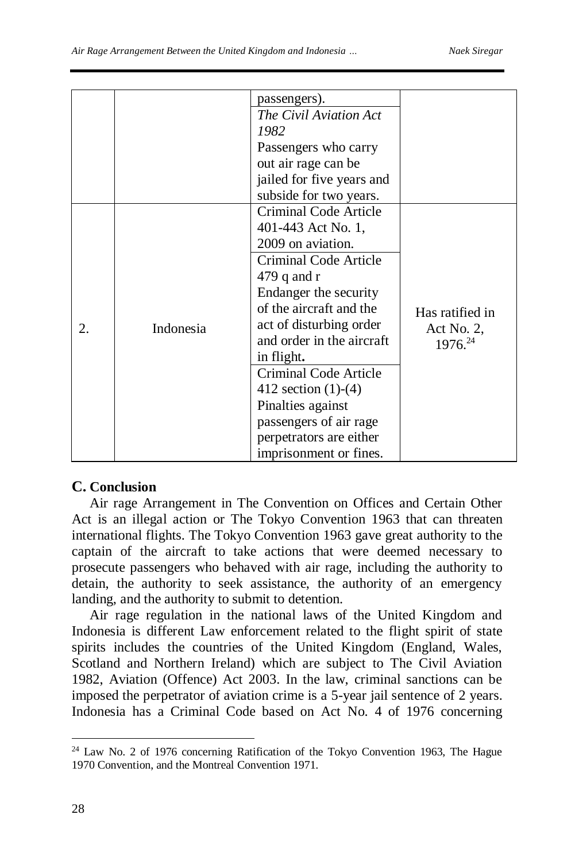|    |           | passengers).                 |                               |
|----|-----------|------------------------------|-------------------------------|
|    |           | The Civil Aviation Act       |                               |
|    |           | 1982                         |                               |
|    |           | Passengers who carry         |                               |
|    |           | out air rage can be          |                               |
|    |           | jailed for five years and    |                               |
|    |           | subside for two years.       |                               |
| 2. | Indonesia | <b>Criminal Code Article</b> |                               |
|    |           | 401-443 Act No. 1,           |                               |
|    |           | 2009 on aviation.            |                               |
|    |           | Criminal Code Article        |                               |
|    |           | 479 $q$ and $r$              | Has ratified in<br>Act No. 2, |
|    |           | Endanger the security        |                               |
|    |           | of the aircraft and the      |                               |
|    |           | act of disturbing order      |                               |
|    |           | and order in the aircraft    | $1976^{24}$                   |
|    |           | in flight.                   |                               |
|    |           | <b>Criminal Code Article</b> |                               |
|    |           | 412 section $(1)-(4)$        |                               |
|    |           | Pinalties against            |                               |
|    |           | passengers of air rage       |                               |
|    |           | perpetrators are either      |                               |
|    |           | imprisonment or fines.       |                               |

### **C. Conclusion**

Air rage Arrangement in The Convention on Offices and Certain Other Act is an illegal action or The Tokyo Convention 1963 that can threaten international flights. The Tokyo Convention 1963 gave great authority to the captain of the aircraft to take actions that were deemed necessary to prosecute passengers who behaved with air rage, including the authority to detain, the authority to seek assistance, the authority of an emergency landing, and the authority to submit to detention.

Air rage regulation in the national laws of the United Kingdom and Indonesia is different Law enforcement related to the flight spirit of state spirits includes the countries of the United Kingdom (England, Wales, Scotland and Northern Ireland) which are subject to The Civil Aviation 1982, Aviation (Offence) Act 2003. In the law, criminal sanctions can be imposed the perpetrator of aviation crime is a 5-year jail sentence of 2 years. Indonesia has a Criminal Code based on Act No. 4 of 1976 concerning

 $\overline{\phantom{a}}$ <sup>24</sup> Law No. 2 of 1976 concerning Ratification of the Tokyo Convention 1963, The Hague 1970 Convention, and the Montreal Convention 1971.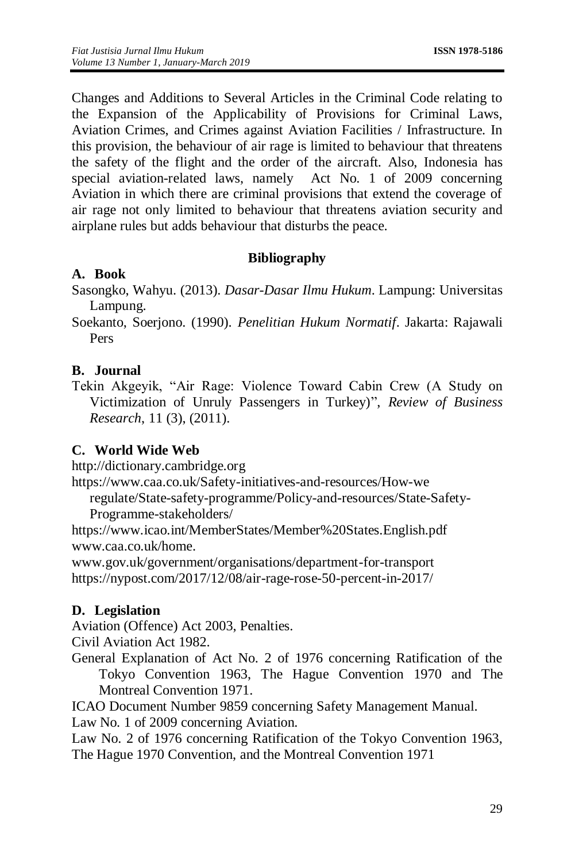Changes and Additions to Several Articles in the Criminal Code relating to the Expansion of the Applicability of Provisions for Criminal Laws, Aviation Crimes, and Crimes against Aviation Facilities / Infrastructure. In this provision, the behaviour of air rage is limited to behaviour that threatens the safety of the flight and the order of the aircraft. Also, Indonesia has special aviation-related laws, namely Act No. 1 of 2009 concerning Aviation in which there are criminal provisions that extend the coverage of air rage not only limited to behaviour that threatens aviation security and airplane rules but adds behaviour that disturbs the peace.

### **Bibliography**

### **A. Book**

Sasongko, Wahyu. (2013). *Dasar-Dasar Ilmu Hukum*. Lampung: Universitas Lampung.

Soekanto, Soerjono. (1990). *Penelitian Hukum Normatif*. Jakarta: Rajawali Pers

#### **B. Journal**

Tekin Akgeyik, "Air Rage: Violence Toward Cabin Crew (A Study on Victimization of Unruly Passengers in Turkey)", *Review of Business Research*, 11 (3), (2011).

#### **C. World Wide Web**

[http://dictionary.cambridge.org](http://dictionary.cambridge.org/)

[https://www.caa.co.uk/Safety-initiatives-and-resources/How-we](https://www.caa.co.uk/Safety-initiatives-and-resources/How-we%20regulate/State-safety-programme/Policy-and-resources/State-Safety-Programme-stakeholders/)

[regulate/State-safety-programme/Policy-and-resources/State-Safety-](https://www.caa.co.uk/Safety-initiatives-and-resources/How-we%20regulate/State-safety-programme/Policy-and-resources/State-Safety-Programme-stakeholders/)[Programme-stakeholders/](https://www.caa.co.uk/Safety-initiatives-and-resources/How-we%20regulate/State-safety-programme/Policy-and-resources/State-Safety-Programme-stakeholders/)

<https://www.icao.int/MemberStates/Member%20States.English.pdf> [www.caa.co.uk/home.](http://www.caa.co.uk/home)

[www.gov.uk/government/organisations/department-for-transport](http://www.gov.uk/government/organisations/department-for-transport) <https://nypost.com/2017/12/08/air-rage-rose-50-percent-in-2017/>

### **D. Legislation**

Aviation (Offence) Act 2003, Penalties.

Civil Aviation Act 1982.

General Explanation of Act No. 2 of 1976 concerning Ratification of the Tokyo Convention 1963, The Hague Convention 1970 and The Montreal Convention 1971.

ICAO Document Number 9859 concerning Safety Management Manual.

Law No. 1 of 2009 concerning Aviation.

Law No. 2 of 1976 concerning Ratification of the Tokyo Convention 1963, The Hague 1970 Convention, and the Montreal Convention 1971